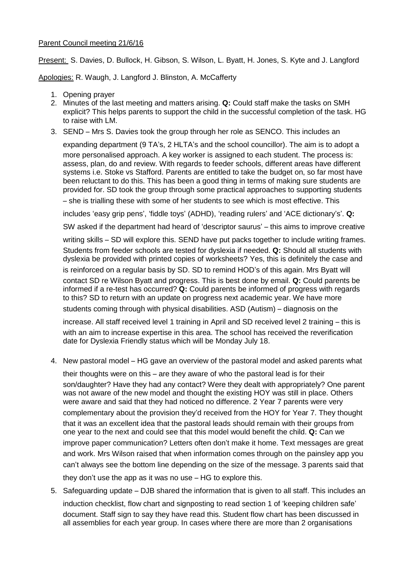## Parent Council meeting 21/6/16

Present: S. Davies, D. Bullock, H. Gibson, S. Wilson, L. Byatt, H. Jones, S. Kyte and J. Langford

Apologies: R. Waugh, J. Langford J. Blinston, A. McCafferty

- 1. Opening prayer
- 2. Minutes of the last meeting and matters arising. **Q:** Could staff make the tasks on SMH explicit? This helps parents to support the child in the successful completion of the task. HG to raise with LM.
- 3. SEND Mrs S. Davies took the group through her role as SENCO. This includes an

expanding department (9 TA's, 2 HLTA's and the school councillor). The aim is to adopt a more personalised approach. A key worker is assigned to each student. The process is: assess, plan, do and review. With regards to feeder schools, different areas have different systems i.e. Stoke vs Stafford. Parents are entitled to take the budget on, so far most have been reluctant to do this. This has been a good thing in terms of making sure students are provided for. SD took the group through some practical approaches to supporting students – she is trialling these with some of her students to see which is most effective. This

includes 'easy grip pens', 'fiddle toys' (ADHD), 'reading rulers' and 'ACE dictionary's'. **Q:**

SW asked if the department had heard of 'descriptor saurus' – this aims to improve creative

writing skills – SD will explore this. SEND have put packs together to include writing frames. Students from feeder schools are tested for dyslexia if needed. **Q:** Should all students with dyslexia be provided with printed copies of worksheets? Yes, this is definitely the case and is reinforced on a regular basis by SD. SD to remind HOD's of this again. Mrs Byatt will contact SD re Wilson Byatt and progress. This is best done by email. **Q:** Could parents be informed if a re-test has occurred? **Q:** Could parents be informed of progress with regards to this? SD to return with an update on progress next academic year. We have more

students coming through with physical disabilities. ASD (Autism) – diagnosis on the

increase. All staff received level 1 training in April and SD received level 2 training – this is with an aim to increase expertise in this area. The school has received the reverification date for Dyslexia Friendly status which will be Monday July 18.

4. New pastoral model – HG gave an overview of the pastoral model and asked parents what

their thoughts were on this – are they aware of who the pastoral lead is for their son/daughter? Have they had any contact? Were they dealt with appropriately? One parent was not aware of the new model and thought the existing HOY was still in place. Others were aware and said that they had noticed no difference. 2 Year 7 parents were very complementary about the provision they'd received from the HOY for Year 7. They thought that it was an excellent idea that the pastoral leads should remain with their groups from one year to the next and could see that this model would benefit the child. **Q:** Can we improve paper communication? Letters often don't make it home. Text messages are great and work. Mrs Wilson raised that when information comes through on the painsley app you can't always see the bottom line depending on the size of the message. 3 parents said that they don't use the app as it was no use – HG to explore this.

5. Safeguarding update – DJB shared the information that is given to all staff. This includes an induction checklist, flow chart and signposting to read section 1 of 'keeping children safe' document. Staff sign to say they have read this. Student flow chart has been discussed in all assemblies for each year group. In cases where there are more than 2 organisations